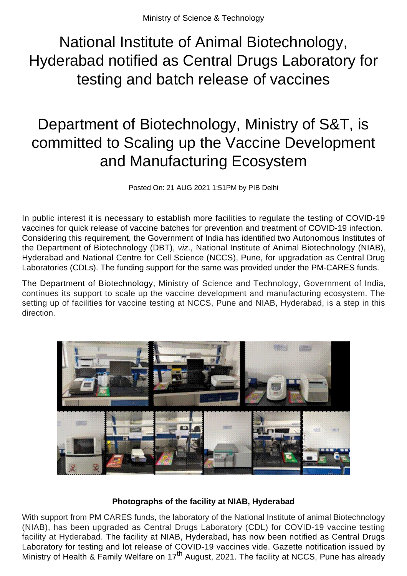National Institute of Animal Biotechnology, Hyderabad notified as Central Drugs Laboratory for testing and batch release of vaccines

## Department of Biotechnology, Ministry of S&T, is committed to Scaling up the Vaccine Development and Manufacturing Ecosystem

Posted On: 21 AUG 2021 1:51PM by PIB Delhi

In public interest it is necessary to establish more facilities to regulate the testing of COVID-19 vaccines for quick release of vaccine batches for prevention and treatment of COVID-19 infection. Considering this requirement, the Government of India has identified two Autonomous Institutes of the Department of Biotechnology (DBT), viz., National Institute of Animal Biotechnology (NIAB), Hyderabad and National Centre for Cell Science (NCCS), Pune, for upgradation as Central Drug Laboratories (CDLs). The funding support for the same was provided under the PM-CARES funds.

The Department of Biotechnology, Ministry of Science and Technology, Government of India, continues its support to scale up the vaccine development and manufacturing ecosystem. The setting up of facilities for vaccine testing at NCCS, Pune and NIAB, Hyderabad, is a step in this direction.



## **Photographs of the facility at NIAB, Hyderabad**

With support from PM CARES funds, the laboratory of the National Institute of animal Biotechnology (NIAB), has been upgraded as Central Drugs Laboratory (CDL) for COVID-19 vaccine testing facility at Hyderabad. The facility at NIAB, Hyderabad, has now been notified as Central Drugs Laboratory for testing and lot release of COVID-19 vaccines vide. Gazette notification issued by Ministry of Health & Family Welfare on 17<sup>th</sup> August, 2021. The facility at NCCS, Pune has already